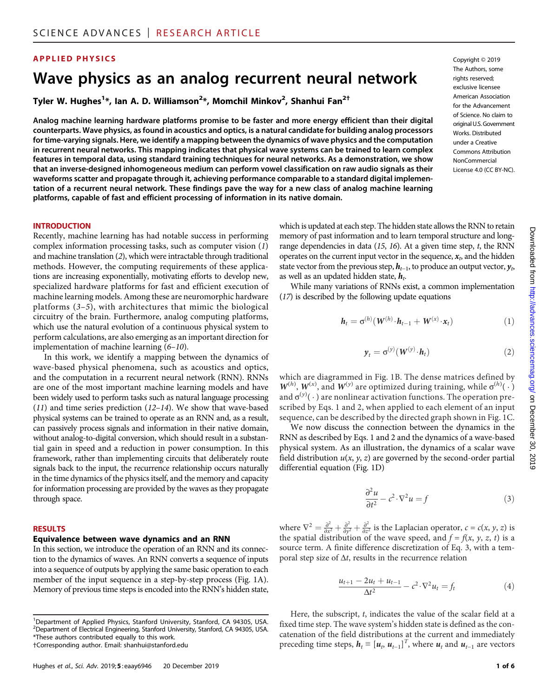### APPLIED PHYSICS Copyright © 2019

# Wave physics as an analog recurrent neural network

Tyler W. Hughes<sup>1</sup>\*, Ian A. D. Williamson<sup>2</sup>\*, Momchil Minkov<sup>2</sup>, Shanhui Fan<sup>2†</sup>

Analog machine learning hardware platforms promise to be faster and more energy efficient than their digital counterparts. Wave physics, as found in acoustics and optics, is a natural candidate for building analog processors for time-varying signals. Here, we identify a mapping between the dynamics of wave physics and the computation in recurrent neural networks. This mapping indicates that physical wave systems can be trained to learn complex features in temporal data, using standard training techniques for neural networks. As a demonstration, we show that an inverse-designed inhomogeneous medium can perform vowel classification on raw audio signals as their waveforms scatter and propagate through it, achieving performance comparable to a standard digital implementation of a recurrent neural network. These findings pave the way for a new class of analog machine learning platforms, capable of fast and efficient processing of information in its native domain.

The Authors, some rights reserved: exclusive licensee American Association for the Advancement of Science. No claim to original U.S. Government Works. Distributed under a Creative Commons Attribution NonCommercial License 4.0 (CC BY-NC).

#### INTRODUCTION

Recently, machine learning has had notable success in performing complex information processing tasks, such as computer vision (1) and machine translation (2), which were intractable through traditional methods. However, the computing requirements of these applications are increasing exponentially, motivating efforts to develop new, specialized hardware platforms for fast and efficient execution of machine learning models. Among these are neuromorphic hardware platforms (3–5), with architectures that mimic the biological circuitry of the brain. Furthermore, analog computing platforms, which use the natural evolution of a continuous physical system to perform calculations, are also emerging as an important direction for implementation of machine learning (6–10).

In this work, we identify a mapping between the dynamics of wave-based physical phenomena, such as acoustics and optics, and the computation in a recurrent neural network (RNN). RNNs are one of the most important machine learning models and have been widely used to perform tasks such as natural language processing (11) and time series prediction (12–14). We show that wave-based physical systems can be trained to operate as an RNN and, as a result, can passively process signals and information in their native domain, without analog-to-digital conversion, which should result in a substantial gain in speed and a reduction in power consumption. In this framework, rather than implementing circuits that deliberately route signals back to the input, the recurrence relationship occurs naturally in the time dynamics of the physics itself, and the memory and capacity for information processing are provided by the waves as they propagate through space.

#### RESULTS

#### Equivalence between wave dynamics and an RNN

In this section, we introduce the operation of an RNN and its connection to the dynamics of waves. An RNN converts a sequence of inputs into a sequence of outputs by applying the same basic operation to each member of the input sequence in a step-by-step process (Fig. 1A). Memory of previous time steps is encoded into the RNN's hidden state, which is updated at each step. The hidden state allows the RNN to retain memory of past information and to learn temporal structure and longrange dependencies in data  $(15, 16)$ . At a given time step, t, the RNN operates on the current input vector in the sequence,  $x<sub>b</sub>$  and the hidden state vector from the previous step,  $h_{t-1}$ , to produce an output vector,  $y_t$ as well as an updated hidden state,  $h_t$ .

While many variations of RNNs exist, a common implementation (17) is described by the following update equations

$$
\boldsymbol{h}_t = \sigma^{(h)}(\boldsymbol{W}^{(h)} \cdot \boldsymbol{h}_{t-1} + \boldsymbol{W}^{(x)} \cdot \boldsymbol{x}_t)
$$
(1)

$$
\mathbf{y}_t = \sigma^{(y)}(\mathbf{W}^{(y)} \cdot \mathbf{h}_t)
$$
 (2)

which are diagrammed in Fig. 1B. The dense matrices defined by  $W^{(h)}, W^{(x)}$ , and  $W^{(y)}$  are optimized during training, while  $\sigma^{(h)}(\cdot)$ <br>and  $\sigma^{(y)}(\cdot)$  are nonlinear activation functions. The operation preand  $\sigma^{(y)}(\cdot)$  are nonlinear activation functions. The operation pre-<br>scribed by Eqs. 1 and 2, when applied to each element of an input scribed by Eqs. 1 and 2, when applied to each element of an input sequence, can be described by the directed graph shown in Fig. 1C.

We now discuss the connection between the dynamics in the RNN as described by Eqs. 1 and 2 and the dynamics of a wave-based physical system. As an illustration, the dynamics of a scalar wave field distribution  $u(x, y, z)$  are governed by the second-order partial differential equation (Fig. 1D)

$$
\frac{\partial^2 u}{\partial t^2} - c^2 \cdot \nabla^2 u = f \tag{3}
$$

where  $\nabla^2 = \frac{\partial^2}{\partial x^2} + \frac{\partial^2}{\partial y^2} + \frac{\partial^2}{\partial z^2}$  is the Laplacian operator,  $c = c(x, y, z)$  is the spatial distribution of the wave speed, and  $f = f(x, y, z, t)$  is a source term. A finite difference discretization of Eq. 3, with a temporal step size of  $\Delta t$ , results in the recurrence relation

$$
\frac{u_{t+1} - 2u_t + u_{t-1}}{\Delta t^2} - c^2 \cdot \nabla^2 u_t = f_t
$$
 (4)

Here, the subscript, t, indicates the value of the scalar field at a fixed time step. The wave system's hidden state is defined as the concatenation of the field distributions at the current and immediately preceding time steps,  $h_t \equiv [u_t, u_{t-1}]^T$ , where  $u_t$  and  $u_{t-1}$  are vectors

<sup>&</sup>lt;sup>1</sup>Department of Applied Physics, Stanford University, Stanford, CA 94305, USA. 2 Department of Electrical Engineering, Stanford University, Stanford, CA 94305, USA. \*These authors contributed equally to this work. †Corresponding author. Email: shanhui@stanford.edu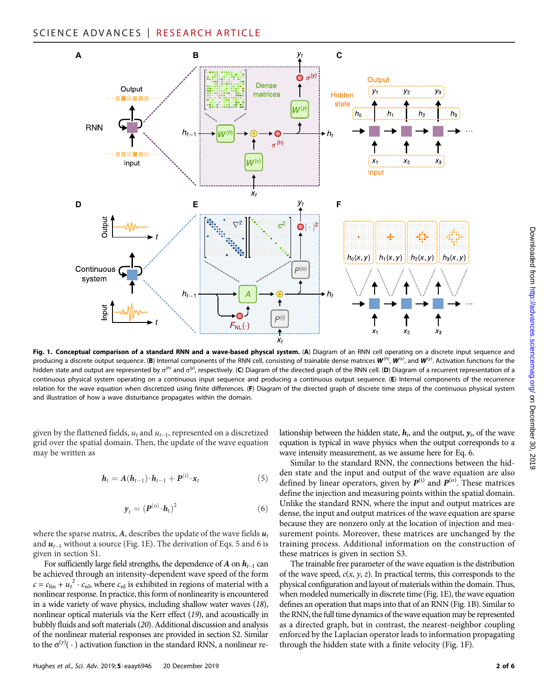

Fig. 1. Conceptual comparison of a standard RNN and a wave-based physcal system. (A) Diagram of an RNN cell operating on a discrete input sequence and producing a discrete output sequence. (B) Internal components of the RNN cell, consisting of trainable dense matrices  $\bm{W}^{(h)}$ ,  $\bm{W}^{(\chi)}$ , and  $\bm{W}^{(y)}$ . Activation functions for the hidden state and output are represented by  $\sigma^{(h)}$  and  $\sigma^{(y)}$ , respectively. (C) Diagram of the directed graph of the RNN cell. (D) Diagram of a recurrent representation of a recurrent representation of a recurrence of continuous physical system operating on a continuous input sequence and producing a continuous output sequence. (E) Internal components of the recurrence relation for the wave equation when discretized using finite differences. (F) Diagram of the directed graph of discrete time steps of the continuous physical system and illustration of how a wave disturbance propagates within the domain.

given by the flattened fields,  $u_t$  and  $u_{t-1}$ , represented on a discretized grid over the spatial domain. Then, the update of the wave equation may be written as

$$
\boldsymbol{h}_t = \boldsymbol{A}(\boldsymbol{h}_{t-1}) \cdot \boldsymbol{h}_{t-1} + \boldsymbol{P}^{(i)} \cdot \boldsymbol{x}_t \tag{5}
$$

$$
\boldsymbol{y}_t = (\boldsymbol{P}^{(\text{o})} \cdot \boldsymbol{h}_t)^2 \tag{6}
$$

where the sparse matrix, A, describes the update of the wave fields  $u_t$ and  $u_{t-1}$  without a source (Fig. 1E). The derivation of Eqs. 5 and 6 is given in section S1.

For sufficiently large field strengths, the dependence of A on  $h_{t-1}$  can be achieved through an intensity-dependent wave speed of the form  $c = c_{\text{lin}} + u_t^2 \cdot c_{\text{nl}}$ , where  $c_{\text{nl}}$  is exhibited in regions of material with a nonlinear response. In practice, this form of nonlinearity is encountered in a wide variety of wave physics, including shallow water waves (18), nonlinear optical materials via the Kerr effect (19), and acoustically in bubbly fluids and soft materials (20). Additional discussion and analysis of the nonlinear material responses are provided in section S2. Similar to the  $\sigma^{(y)}(\cdot)$  activation function in the standard RNN, a nonlinear relationship between the hidden state,  $h_t$ , and the output,  $y_t$ , of the wave equation is typical in wave physics when the output corresponds to a wave intensity measurement, as we assume here for Eq. 6.

Similar to the standard RNN, the connections between the hidden state and the input and output of the wave equation are also defined by linear operators, given by  $P^{(i)}$  and  $P^{(o)}$ . These matrices define the injection and measuring points within the spatial domain. Unlike the standard RNN, where the input and output matrices are dense, the input and output matrices of the wave equation are sparse because they are nonzero only at the location of injection and measurement points. Moreover, these matrices are unchanged by the training process. Additional information on the construction of these matrices is given in section S3.

The trainable free parameter of the wave equation is the distribution of the wave speed,  $c(x, y, z)$ . In practical terms, this corresponds to the physical configuration and layout of materials within the domain. Thus, when modeled numerically in discrete time (Fig. 1E), the wave equation defines an operation that maps into that of an RNN (Fig. 1B). Similar to the RNN, the full time dynamics of the wave equation may be represented as a directed graph, but in contrast, the nearest-neighbor coupling enforced by the Laplacian operator leads to information propagating through the hidden state with a finite velocity (Fig. 1F).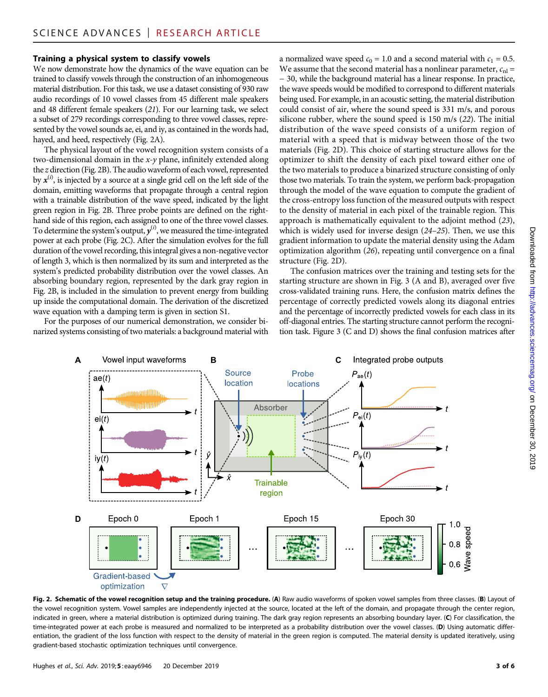#### Training a physical system to classify vowels

We now demonstrate how the dynamics of the wave equation can be trained to classify vowels through the construction of an inhomogeneous material distribution. For this task, we use a dataset consisting of 930 raw audio recordings of 10 vowel classes from 45 different male speakers and 48 different female speakers (21). For our learning task, we select a subset of 279 recordings corresponding to three vowel classes, represented by the vowel sounds ae, ei, and iy, as contained in the words had, hayed, and heed, respectively (Fig. 2A).

The physical layout of the vowel recognition system consists of a two-dimensional domain in the x-y plane, infinitely extended along the z direction (Fig. 2B). The audio waveform of each vowel, represented by  $x^{(i)}$ , is injected by a source at a single grid cell on the left side of the domain, emitting waveforms that propagate through a central region with a trainable distribution of the wave speed, indicated by the light green region in Fig. 2B. Three probe points are defined on the righthand side of this region, each assigned to one of the three vowel classes. To determine the system's output,  $y^{(i)}$ , we measured the time-integrated power at each probe (Fig. 2C). After the simulation evolves for the full duration of the vowel recording, this integral gives a non-negative vector of length 3, which is then normalized by its sum and interpreted as the system's predicted probability distribution over the vowel classes. An absorbing boundary region, represented by the dark gray region in Fig. 2B, is included in the simulation to prevent energy from building up inside the computational domain. The derivation of the discretized wave equation with a damping term is given in section S1.

For the purposes of our numerical demonstration, we consider binarized systems consisting of two materials: a background material with a normalized wave speed  $c_0 = 1.0$  and a second material with  $c_1 = 0.5$ . We assume that the second material has a nonlinear parameter,  $c_{nl}$  = − 30, while the background material has a linear response. In practice, the wave speeds would be modified to correspond to different materials being used. For example, in an acoustic setting, the material distribution could consist of air, where the sound speed is 331 m/s, and porous silicone rubber, where the sound speed is 150 m/s (22). The initial distribution of the wave speed consists of a uniform region of material with a speed that is midway between those of the two materials (Fig. 2D). This choice of starting structure allows for the optimizer to shift the density of each pixel toward either one of the two materials to produce a binarized structure consisting of only those two materials. To train the system, we perform back-propagation through the model of the wave equation to compute the gradient of the cross-entropy loss function of the measured outputs with respect to the density of material in each pixel of the trainable region. This approach is mathematically equivalent to the adjoint method (23), which is widely used for inverse design (24-25). Then, we use this gradient information to update the material density using the Adam optimization algorithm (26), repeating until convergence on a final structure (Fig. 2D).

The confusion matrices over the training and testing sets for the starting structure are shown in Fig. 3 (A and B), averaged over five cross-validated training runs. Here, the confusion matrix defines the percentage of correctly predicted vowels along its diagonal entries and the percentage of incorrectly predicted vowels for each class in its off-diagonal entries. The starting structure cannot perform the recognition task. Figure 3 (C and D) shows the final confusion matrices after



Fig. 2. Schematic of the vowel recognition setup and the training procedure. (A) Raw audio waveforms of spoken vowel samples from three classes. (B) Layout of the vowel recognition system. Vowel samples are independently injected at the source, located at the left of the domain, and propagate through the center region, indicated in green, where a material distribution is optimized during training. The dark gray region represents an absorbing boundary layer. (C) For classification, the time-integrated power at each probe is measured and normalized to be interpreted as a probability distribution over the vowel classes. (D) Using automatic differentiation, the gradient of the loss function with respect to the density of material in the green region is computed. The material density is updated iteratively, using gradient-based stochastic optimization techniques until convergence.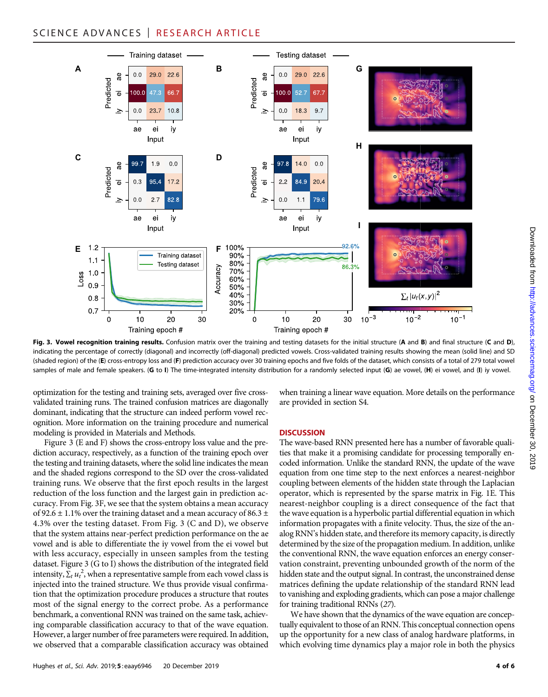## SCIENCE ADVANCES | RESEARCH ARTICLE

![](_page_3_Figure_1.jpeg)

Fig. 3. Vowel recognition training results. Confusion matrix over the training and testing datasets for the initial structure (A and B) and final structure (C and D), indicating the percentage of correctly (diagonal) and incorrectly (off-diagonal) predicted vowels. Cross-validated training results showing the mean (solid line) and SD (shaded region) of the (E) cross-entropy loss and (F) prediction accuracy over 30 training epochs and five folds of the dataset, which consists of a total of 279 total vowel samples of male and female speakers. (G to I) The time-integrated intensity distribution for a randomly selected input (G) ae vowel,  $(H)$  ei vowel, and (I) iy vowel.

optimization for the testing and training sets, averaged over five crossvalidated training runs. The trained confusion matrices are diagonally dominant, indicating that the structure can indeed perform vowel recognition. More information on the training procedure and numerical modeling is provided in Materials and Methods.

Figure 3 (E and F) shows the cross-entropy loss value and the prediction accuracy, respectively, as a function of the training epoch over the testing and training datasets, where the solid line indicates the mean and the shaded regions correspond to the SD over the cross-validated training runs. We observe that the first epoch results in the largest reduction of the loss function and the largest gain in prediction accuracy. From Fig. 3F, we see that the system obtains a mean accuracy of 92.6  $\pm$  1.1% over the training dataset and a mean accuracy of 86.3  $\pm$ 4.3% over the testing dataset. From Fig. 3 (C and D), we observe that the system attains near-perfect prediction performance on the ae vowel and is able to differentiate the iy vowel from the ei vowel but with less accuracy, especially in unseen samples from the testing dataset. Figure 3 (G to I) shows the distribution of the integrated field intensity,  $\sum_{t} u_t^2$ , when a representative sample from each vowel class is injected into the trained structure. We thus provide visual confirmation that the optimization procedure produces a structure that routes most of the signal energy to the correct probe. As a performance benchmark, a conventional RNN was trained on the same task, achieving comparable classification accuracy to that of the wave equation. However, a larger number of free parameters were required. In addition, we observed that a comparable classification accuracy was obtained

when training a linear wave equation. More details on the performance are provided in section S4.

#### **DISCUSSION**

The wave-based RNN presented here has a number of favorable qualities that make it a promising candidate for processing temporally encoded information. Unlike the standard RNN, the update of the wave equation from one time step to the next enforces a nearest-neighbor coupling between elements of the hidden state through the Laplacian operator, which is represented by the sparse matrix in Fig. 1E. This nearest-neighbor coupling is a direct consequence of the fact that the wave equation is a hyperbolic partial differential equation in which information propagates with a finite velocity. Thus, the size of the analog RNN's hidden state, and therefore its memory capacity, is directly determined by the size of the propagation medium. In addition, unlike the conventional RNN, the wave equation enforces an energy conservation constraint, preventing unbounded growth of the norm of the hidden state and the output signal. In contrast, the unconstrained dense matrices defining the update relationship of the standard RNN lead to vanishing and exploding gradients, which can pose a major challenge for training traditional RNNs (27).

We have shown that the dynamics of the wave equation are conceptually equivalent to those of an RNN. This conceptual connection opens up the opportunity for a new class of analog hardware platforms, in which evolving time dynamics play a major role in both the physics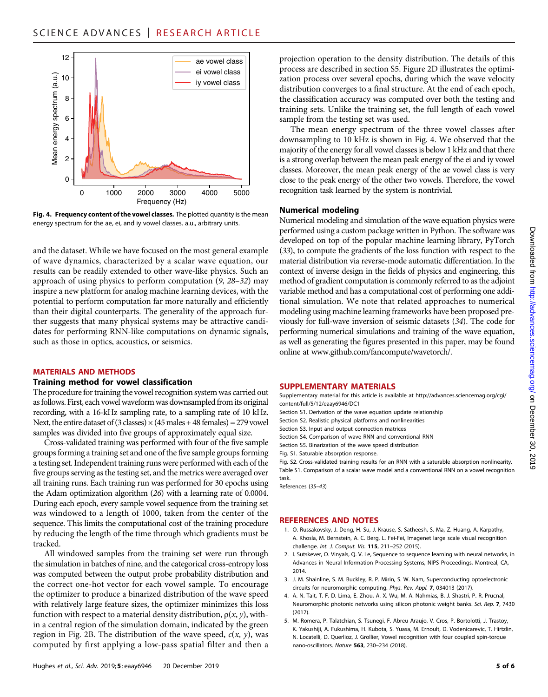![](_page_4_Figure_1.jpeg)

Fig. 4. Frequency content of the vowel classes. The plotted quantity is the mean energy spectrum for the ae, ei, and iy vowel classes. a.u., arbitrary units.

and the dataset. While we have focused on the most general example of wave dynamics, characterized by a scalar wave equation, our results can be readily extended to other wave-like physics. Such an approach of using physics to perform computation (9, 28–32) may inspire a new platform for analog machine learning devices, with the potential to perform computation far more naturally and efficiently than their digital counterparts. The generality of the approach further suggests that many physical systems may be attractive candidates for performing RNN-like computations on dynamic signals, such as those in optics, acoustics, or seismics.

#### MATERIALS AND METHODS

#### Training method for vowel classification

The procedure for training the vowel recognition system was carried out asfollows. First, each vowel waveform was downsampled from its original recording, with a 16-kHz sampling rate, to a sampling rate of 10 kHz. Next, the entire dataset of (3 classes)  $\times$  (45 males + 48 females) = 279 vowel samples was divided into five groups of approximately equal size.

Cross-validated training was performed with four of the five sample groups forming a training set and one of the five sample groups forming a testing set. Independent training runs were performed with each of the five groups serving as the testing set, and the metrics were averaged over all training runs. Each training run was performed for 30 epochs using the Adam optimization algorithm (26) with a learning rate of 0.0004. During each epoch, every sample vowel sequence from the training set was windowed to a length of 1000, taken from the center of the sequence. This limits the computational cost of the training procedure by reducing the length of the time through which gradients must be tracked.

All windowed samples from the training set were run through the simulation in batches of nine, and the categorical cross-entropy loss was computed between the output probe probability distribution and the correct one-hot vector for each vowel sample. To encourage the optimizer to produce a binarized distribution of the wave speed with relatively large feature sizes, the optimizer minimizes this loss function with respect to a material density distribution,  $\rho(x, y)$ , within a central region of the simulation domain, indicated by the green region in Fig. 2B. The distribution of the wave speed,  $c(x, y)$ , was computed by first applying a low-pass spatial filter and then a

projection operation to the density distribution. The details of this process are described in section S5. Figure 2D illustrates the optimization process over several epochs, during which the wave velocity distribution converges to a final structure. At the end of each epoch, the classification accuracy was computed over both the testing and training sets. Unlike the training set, the full length of each vowel sample from the testing set was used.

The mean energy spectrum of the three vowel classes after downsampling to 10 kHz is shown in Fig. 4. We observed that the majority of the energy for all vowel classes is below 1 kHz and that there is a strong overlap between the mean peak energy of the ei and iy vowel classes. Moreover, the mean peak energy of the ae vowel class is very close to the peak energy of the other two vowels. Therefore, the vowel recognition task learned by the system is nontrivial.

#### Numerical modeling

Numerical modeling and simulation of the wave equation physics were performed using a custom package written in Python. The software was developed on top of the popular machine learning library, PyTorch (33), to compute the gradients of the loss function with respect to the material distribution via reverse-mode automatic differentiation. In the context of inverse design in the fields of physics and engineering, this method of gradient computation is commonly referred to as the adjoint variable method and has a computational cost of performing one additional simulation. We note that related approaches to numerical modeling using machine learning frameworks have been proposed previously for full-wave inversion of seismic datasets (34). The code for performing numerical simulations and training of the wave equation, as well as generating the figures presented in this paper, may be found online at [www.github.com/fancompute/wavetorch/](http://www.github.com/fancompute/wavetorch/).

#### SUPPLEMENTARY MATERIALS

Supplementary material for this article is available at [http://advances.sciencemag.org/cgi/](http://advances.sciencemag.org/cgi/content/full/5/12/eaay6946/DC1) [content/full/5/12/eaay6946/DC1](http://advances.sciencemag.org/cgi/content/full/5/12/eaay6946/DC1)

- Section S1. Derivation of the wave equation update relationship
- Section S2. Realistic physical platforms and nonlinearities
- Section S3. Input and output connection matrices
- Section S4. Comparison of wave RNN and conventional RNN
- Section S5. Binarization of the wave speed distribution
- Fig. S1. Saturable absorption response.

Fig. S2. Cross-validated training results for an RNN with a saturable absorption nonlinearity. Table S1. Comparison of a scalar wave model and a conventional RNN on a vowel recognition task.

References (35–43)

#### REFERENCES AND NOTES

- 1. O. Russakovsky, J. Deng, H. Su, J. Krause, S. Satheesh, S. Ma, Z. Huang, A. Karpathy, A. Khosla, M. Bernstein, A. C. Berg, L. Fei-Fei, Imagenet large scale visual recognition challenge. Int. J. Comput. Vis. 115, 211–252 (2015).
- 2. I. Sutskever, O. Vinyals, Q. V. Le, Sequence to sequence learning with neural networks, in Advances in Neural Information Processing Systems, NIPS Proceedings, Montreal, CA, 2014.
- 3. J. M. Shainline, S. M. Buckley, R. P. Mirin, S. W. Nam, Superconducting optoelectronic circuits for neuromorphic computing. Phys. Rev. Appl. 7, 034013 (2017).
- 4. A. N. Tait, T. F. D. Lima, E. Zhou, A. X. Wu, M. A. Nahmias, B. J. Shastri, P. R. Prucnal, Neuromorphic photonic networks using silicon photonic weight banks. Sci. Rep. 7, 7430  $(2017)$
- 5. M. Romera, P. Talatchian, S. Tsunegi, F. Abreu Araujo, V. Cros, P. Bortolotti, J. Trastoy, K. Yakushiji, A. Fukushima, H. Kubota, S. Yuasa, M. Ernoult, D. Vodenicarevic, T. Hirtzlin, N. Locatelli, D. Querlioz, J. Grollier, Vowel recognition with four coupled spin-torque nano-oscillators. Nature 563, 230–234 (2018).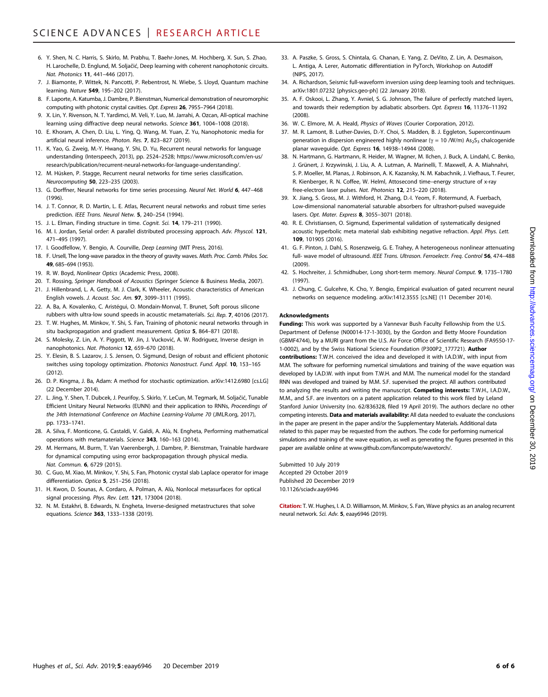- 6. Y. Shen, N. C. Harris, S. Skirlo, M. Prabhu, T. Baehr-Jones, M. Hochberg, X. Sun, S. Zhao, H. Larochelle, D. Englund, M. Soljačić, Deep learning with coherent nanophotonic circuits. Nat. Photonics 11, 441–446 (2017).
- 7. J. Biamonte, P. Wittek, N. Pancotti, P. Rebentrost, N. Wiebe, S. Lloyd, Quantum machine learning. Nature 549, 195–202 (2017).
- 8. F. Laporte, A. Katumba, J. Dambre, P. Bienstman, Numerical demonstration of neuromorphic computing with photonic crystal cavities. Opt. Express 26, 7955–7964 (2018).
- X. Lin, Y. Rivenson, N. T. Yardimci, M. Veli, Y. Luo, M. Jarrahi, A. Ozcan, All-optical machine learning using diffractive deep neural networks. Science 361, 1004-1008 (2018).
- 10. E. Khoram, A. Chen, D. Liu, L. Ying, Q. Wang, M. Yuan, Z. Yu, Nanophotonic media for artificial neural inference. Photon. Res. 7, 823–827 (2019).
- 11. K. Yao, G. Zweig, M.-Y. Hwang, Y. Shi, D. Yu, Recurrent neural networks for language understanding (Interspeech, 2013), pp. 2524–2528; [https://www.microsoft.com/en-us/](https://www.microsoft.com/en-us/research/publication/recurrent-neural-networks-for-language-understanding/) [research/publication/recurrent-neural-networks-for-language-understanding/](https://www.microsoft.com/en-us/research/publication/recurrent-neural-networks-for-language-understanding/).
- 12. M. Hüsken, P. Stagge, Recurrent neural networks for time series classification. Neurocomputing 50, 223–235 (2003).
- 13. G. Dorffner, Neural networks for time series processing. Neural Net. World 6, 447-468 (1996).
- 14. J. T. Connor, R. D. Martin, L. E. Atlas, Recurrent neural networks and robust time series prediction. IEEE Trans. Neural Netw. 5, 240-254 (1994).
- 15. J. L. Elman, Finding structure in time. Cognit. Sci. 14, 179-211 (1990).
- 16. M. I. Jordan, Serial order: A parallel distributed processing approach. Adv. Physcol. 121, 471–495 (1997).
- 17. I. Goodfellow, Y. Bengio, A. Courville, Deep Learning (MIT Press, 2016).
- 18. F. Ursell, The long-wave paradox in the theory of gravity waves. Math. Proc. Camb. Philos. Soc. 49, 685–694 (1953).
- 19. R. W. Boyd, Nonlinear Optics (Academic Press, 2008).
- 20. T. Rossing, Springer Handbook of Acoustics (Springer Science & Business Media, 2007).
- 21. J. Hillenbrand, L. A. Getty, M. J. Clark, K. Wheeler, Acoustic characteristics of American English vowels. J. Acoust. Soc. Am. 97, 3099–3111 (1995).
- 22. A. Ba, A. Kovalenko, C. Aristégui, O. Mondain-Monval, T. Brunet, Soft porous silicone rubbers with ultra-low sound speeds in acoustic metamaterials. Sci. Rep. 7, 40106 (2017).
- 23. T. W. Hughes, M. Minkov, Y. Shi, S. Fan, Training of photonic neural networks through in situ backpropagation and gradient measurement. Optica 5, 864-871 (2018).
- 24. S. Molesky, Z. Lin, A. Y. Piggott, W. Jin, J. Vucković, A. W. Rodriguez, Inverse design in nanophotonics. Nat. Photonics 12, 659–670 (2018).
- 25. Y. Elesin, B. S. Lazarov, J. S. Jensen, O. Sigmund, Design of robust and efficient photonic switches using topology optimization. Photonics Nanostruct. Fund. Appl. 10, 153–165 (2012).
- 26. D. P. Kingma, J. Ba, Adam: A method for stochastic optimization. arXiv:1412.6980 [cs.LG] (22 December 2014).
- 27. L. Jing, Y. Shen, T. Dubcek, J. Peurifoy, S. Skirlo, Y. LeCun, M. Tegmark, M. Soljačić, Tunable Efficient Unitary Neural Networks (EUNN) and their application to RNNs, Proceedings of the 34th International Conference on Machine Learning-Volume 70 (JMLR.org, 2017), pp. 1733–1741.
- 28. A. Silva, F. Monticone, G. Castaldi, V. Galdi, A. Alù, N. Engheta, Performing mathematical operations with metamaterials. Science 343, 160–163 (2014).
- 29. M. Hermans, M. Burm, T. Van Vaerenbergh, J. Dambre, P. Bienstman, Trainable hardware for dynamical computing using error backpropagation through physical media. Nat. Commun. 6, 6729 (2015).
- 30. C. Guo, M. Xiao, M. Minkov, Y. Shi, S. Fan, Photonic crystal slab Laplace operator for image differentiation. Optica 5, 251–256 (2018).
- 31. H. Kwon, D. Sounas, A. Cordaro, A. Polman, A. Alù, Nonlocal metasurfaces for optical signal processing. Phys. Rev. Lett. 121, 173004 (2018).
- 32. N. M. Estakhri, B. Edwards, N. Engheta, Inverse-designed metastructures that solve equations. Science 363, 1333–1338 (2019).
- 33. A. Paszke, S. Gross, S. Chintala, G. Chanan, E. Yang, Z. DeVito, Z. Lin, A. Desmaison, L. Antiga, A. Lerer, Automatic differentiation in PyTorch, Workshop on Autodiff (NIPS, 2017).
- 34. A. Richardson, Seismic full-waveform inversion using deep learning tools and techniques. arXiv:1801.07232 [physics.geo-ph] (22 January 2018).
- 35. A. F. Oskooi, L. Zhang, Y. Avniel, S. G. Johnson, The failure of perfectly matched layers, and towards their redemption by adiabatic absorbers. Opt. Express 16, 11376–11392 (2008).
- 36. W. C. Elmore, M. A. Heald, Physics of Waves (Courier Corporation, 2012).
- 37. M. R. Lamont, B. Luther-Davies, D.-Y. Choi, S. Madden, B. J. Eggleton, Supercontinuum generation in dispersion engineered highly nonlinear ( $\gamma$  = 10 /W/m) As<sub>2</sub>S<sub>3</sub> chalcogenide planar waveguide. Opt. Express 16, 14938–14944 (2008).
- 38. N. Hartmann, G. Hartmann, R. Heider, M. Wagner, M. Ilchen, J. Buck, A. Lindahl, C. Benko, J. Grünert, J. Krzywinski, J. Liu, A. A. Lutman, A. Marinelli, T. Maxwell, A. A. Miahnahri, S. P. Moeller, M. Planas, J. Robinson, A. K. Kazansky, N. M. Kabachnik, J. Viefhaus, T. Feurer, R. Kienberger, R. N. Coffee, W. Helml, Attosecond time–energy structure of x-ray free-electron laser pulses. Nat. Photonics 12, 215–220 (2018).
- 39. X. Jiang, S. Gross, M. J. Withford, H. Zhang, D.-I. Yeom, F. Rotermund, A. Fuerbach, Low-dimensional nanomaterial saturable absorbers for ultrashort-pulsed waveguide lasers. Opt. Mater. Express 8, 3055–3071 (2018).
- 40. R. E. Christiansen, O. Sigmund, Experimental validation of systematically designed acoustic hyperbolic meta material slab exhibiting negative refraction. Appl. Phys. Lett. 109, 101905 (2016).
- 41. G. F. Pinton, J. Dahl, S. Rosenzweig, G. E. Trahey, A heterogeneous nonlinear attenuating full- wave model of ultrasound. IEEE Trans. Ultrason. Ferroelectr. Freq. Control 56, 474–488 (2009).
- 42. S. Hochreiter, J. Schmidhuber, Long short-term memory. Neural Comput. 9, 1735-1780 (1997).
- 43. J. Chung, C. Gulcehre, K. Cho, Y. Bengio, Empirical evaluation of gated recurrent neural networks on sequence modeling. arXiv:1412.3555 [cs.NE] (11 December 2014).

#### Acknowledgments

Funding: This work was supported by a Vannevar Bush Faculty Fellowship from the U.S. Department of Defense (N00014-17-1-3030), by the Gordon and Betty Moore Foundation (GBMF4744), by a MURI grant from the U.S. Air Force Office of Scientific Research (FA9550-17- 1-0002), and by the Swiss National Science Foundation (P300P2\_177721). Author contributions: T.W.H. conceived the idea and developed it with I.A.D.W., with input from M.M. The software for performing numerical simulations and training of the wave equation was developed by I.A.D.W. with input from T.W.H. and M.M. The numerical model for the standard RNN was developed and trained by M.M. S.F. supervised the project. All authors contributed to analyzing the results and writing the manuscript. Competing interests: T.W.H., I.A.D.W., M.M., and S.F. are inventors on a patent application related to this work filed by Leland Stanford Junior University (no. 62/836328, filed 19 April 2019). The authors declare no other competing interests. Data and materials availability: All data needed to evaluate the conclusions in the paper are present in the paper and/or the Supplementary Materials. Additional data related to this paper may be requested from the authors. The code for performing numerical simulations and training of the wave equation, as well as generating the figures presented in this paper are available online at [www.github.com/fancompute/wavetorch/.](http://www.github.com/fancompute/wavetorch/)

Submitted 10 July 2019 Accepted 29 October 2019 Published 20 December 2019 10.1126/sciadv.aay6946

Citation: T. W. Hughes, I. A. D. Williamson, M. Minkov, S. Fan, Wave physics as an analog recurrent neural network. Sci. Adv. 5, eaay6946 (2019).